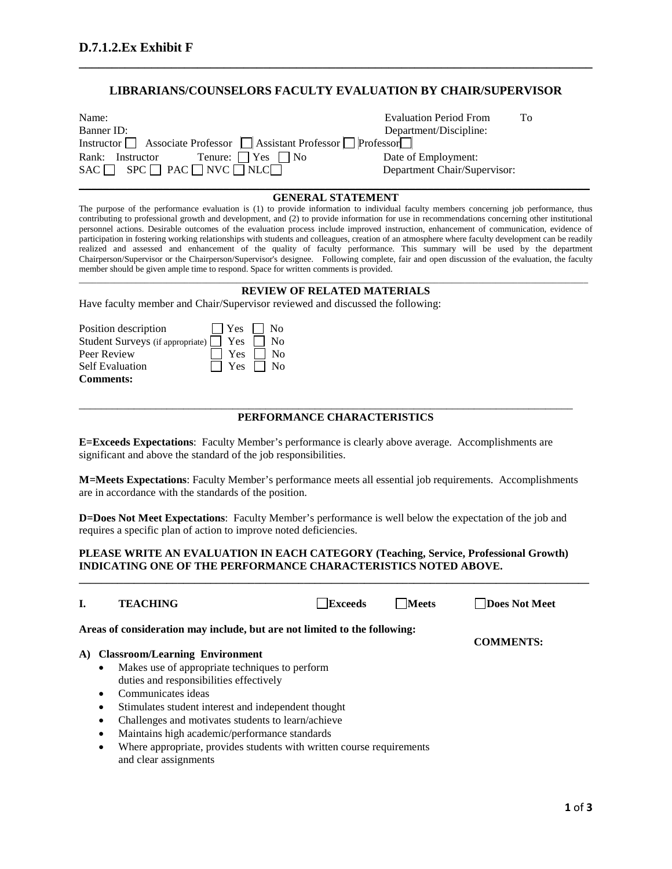## **LIBRARIANS/COUNSELORS FACULTY EVALUATION BY CHAIR/SUPERVISOR**

**\_\_\_\_\_\_\_\_\_\_\_\_\_\_\_\_\_\_\_\_\_\_\_\_\_\_\_\_\_\_\_\_\_\_\_\_\_\_\_\_\_\_\_\_\_\_\_\_\_\_\_\_\_\_\_\_\_\_\_\_\_\_\_\_\_\_\_\_\_\_\_\_\_\_\_\_\_\_**

| Name:                                                            | <b>Evaluation Period From</b><br>To. |  |
|------------------------------------------------------------------|--------------------------------------|--|
| Banner ID:                                                       | Department/Discipline:               |  |
| Instructor Associate Professor   Assistant Professor   Professor |                                      |  |
| Tenure: 1   Yes 1   No<br>Rank: Instructor                       | Date of Employment:                  |  |
| $SAC \Box$ $SPC \Box PAC \Box NVC \Box NLC \Box$                 | Department Chair/Supervisor:         |  |

### **\_\_\_\_\_\_\_\_\_\_\_\_\_\_\_\_\_\_\_\_\_\_\_\_\_\_\_\_\_\_\_\_\_\_\_\_\_\_\_\_\_\_\_\_\_\_\_\_\_\_\_\_\_\_\_\_\_\_\_\_\_\_\_\_\_\_\_\_\_\_\_\_\_\_\_\_\_\_\_\_\_\_\_\_\_ GENERAL STATEMENT**

The purpose of the performance evaluation is (1) to provide information to individual faculty members concerning job performance, thus contributing to professional growth and development, and (2) to provide information for use in recommendations concerning other institutional personnel actions. Desirable outcomes of the evaluation process include improved instruction, enhancement of communication, evidence of participation in fostering working relationships with students and colleagues, creation of an atmosphere where faculty development can be readily realized and assessed and enhancement of the quality of faculty performance. This summary will be used by the department Chairperson/Supervisor or the Chairperson/Supervisor's designee. Following complete, fair and open discussion of the evaluation, the faculty member should be given ample time to respond. Space for written comments is provided. \_\_\_\_\_\_\_\_\_\_\_\_\_\_\_\_\_\_\_\_\_\_\_\_\_\_\_\_\_\_\_\_\_\_\_\_\_\_\_\_\_\_\_\_\_\_\_\_\_\_\_\_\_\_\_\_\_\_\_\_\_\_\_\_\_\_\_\_\_\_\_\_\_\_\_\_\_\_\_\_\_\_\_\_\_\_\_\_\_\_\_\_\_\_\_\_\_\_\_\_\_\_\_\_\_\_\_\_\_\_\_\_\_\_\_\_

### **REVIEW OF RELATED MATERIALS**

Have faculty member and Chair/Supervisor reviewed and discussed the following:

| Position description   |  | $ $ $ $ $Yes$ $ $ $ $ $No$ |
|------------------------|--|----------------------------|
|                        |  |                            |
| Peer Review            |  | $\Box$ Yes $\Box$ No       |
| <b>Self Evaluation</b> |  | $\Box$ Yes $\Box$ No       |
| <b>Comments:</b>       |  |                            |

# **PERFORMANCE CHARACTERISTICS**

\_\_\_\_\_\_\_\_\_\_\_\_\_\_\_\_\_\_\_\_\_\_\_\_\_\_\_\_\_\_\_\_\_\_\_\_\_\_\_\_\_\_\_\_\_\_\_\_\_\_\_\_\_\_\_\_\_\_\_\_\_\_\_\_\_\_\_\_\_\_\_\_\_\_\_\_\_\_\_\_\_\_\_\_\_\_\_\_\_\_

**E=Exceeds Expectations**: Faculty Member's performance is clearly above average. Accomplishments are significant and above the standard of the job responsibilities.

**M=Meets Expectations**: Faculty Member's performance meets all essential job requirements. Accomplishments are in accordance with the standards of the position.

**D=Does Not Meet Expectations**: Faculty Member's performance is well below the expectation of the job and requires a specific plan of action to improve noted deficiencies.

#### **PLEASE WRITE AN EVALUATION IN EACH CATEGORY (Teaching, Service, Professional Growth) INDICATING ONE OF THE PERFORMANCE CHARACTERISTICS NOTED ABOVE.**

**\_\_\_\_\_\_\_\_\_\_\_\_\_\_\_\_\_\_\_\_\_\_\_\_\_\_\_\_\_\_\_\_\_\_\_\_\_\_\_\_\_\_\_\_\_\_\_\_\_\_\_\_\_\_\_\_\_\_\_\_\_\_\_\_\_\_\_\_\_\_\_\_\_\_\_\_\_\_\_\_\_\_\_\_\_\_\_\_\_\_\_\_\_**

|                                                                                                                                                                                                                                                                                                                                                                                                                                                               | <b>TEACHING</b>                                                           | Exceeds          | <b>Meets</b> | Does Not Meet |
|---------------------------------------------------------------------------------------------------------------------------------------------------------------------------------------------------------------------------------------------------------------------------------------------------------------------------------------------------------------------------------------------------------------------------------------------------------------|---------------------------------------------------------------------------|------------------|--------------|---------------|
|                                                                                                                                                                                                                                                                                                                                                                                                                                                               | Areas of consideration may include, but are not limited to the following: | <b>COMMENTS:</b> |              |               |
| A)                                                                                                                                                                                                                                                                                                                                                                                                                                                            | <b>Classroom/Learning Environment</b>                                     |                  |              |               |
| Makes use of appropriate techniques to perform<br>$\bullet$<br>duties and responsibilities effectively<br>Communicates ideas<br>$\bullet$<br>Stimulates student interest and independent thought<br>$\bullet$<br>Challenges and motivates students to learn/achieve<br>$\bullet$<br>Maintains high academic/performance standards<br>$\bullet$<br>Where appropriate, provides students with written course requirements<br>$\bullet$<br>and clear assignments |                                                                           |                  |              |               |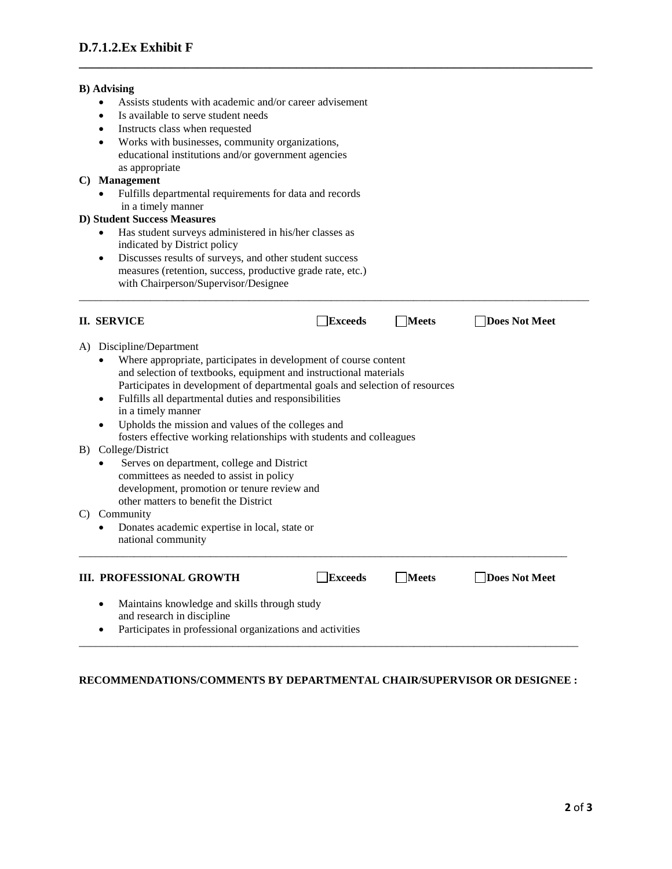#### **B) Advising**

- Assists students with academic and/or career advisement
- Is available to serve student needs
- Instructs class when requested
- Works with businesses, community organizations, educational institutions and/or government agencies as appropriate

## **C) Management**

• Fulfills departmental requirements for data and records in a timely manner

### **D) Student Success Measures**

- Has student surveys administered in his/her classes as indicated by District policy
- Discusses results of surveys, and other student success measures (retention, success, productive grade rate, etc.) with Chairperson/Supervisor/Designee

|                                                                                                                                                                                                                                                                                                                                                  | <b>II. SERVICE</b>                                                                                                                                                                                                                                    | <b>Exceeds</b> | <b>Meets</b> | Does Not Meet |
|--------------------------------------------------------------------------------------------------------------------------------------------------------------------------------------------------------------------------------------------------------------------------------------------------------------------------------------------------|-------------------------------------------------------------------------------------------------------------------------------------------------------------------------------------------------------------------------------------------------------|----------------|--------------|---------------|
| Discipline/Department<br>A)<br>Where appropriate, participates in development of course content<br>and selection of textbooks, equipment and instructional materials<br>Participates in development of departmental goals and selection of resources<br>Fulfills all departmental duties and responsibilities<br>$\bullet$<br>in a timely manner |                                                                                                                                                                                                                                                       |                |              |               |
| B)                                                                                                                                                                                                                                                                                                                                               | Upholds the mission and values of the colleges and<br>$\bullet$<br>fosters effective working relationships with students and colleagues<br>College/District<br>Serves on department, college and District<br>committees as needed to assist in policy |                |              |               |
| C)                                                                                                                                                                                                                                                                                                                                               | development, promotion or tenure review and<br>other matters to benefit the District<br>Community<br>Donates academic expertise in local, state or                                                                                                    |                |              |               |
|                                                                                                                                                                                                                                                                                                                                                  | national community<br><b>III. PROFESSIONAL GROWTH</b>                                                                                                                                                                                                 | <b>Exceeds</b> | <b>Meets</b> | Does Not Meet |
|                                                                                                                                                                                                                                                                                                                                                  | Maintains knowledge and skills through study<br>٠<br>and research in discipline<br>Participates in professional organizations and activities<br>$\bullet$                                                                                             |                |              |               |

\_\_\_\_\_\_\_\_\_\_\_\_\_\_\_\_\_\_\_\_\_\_\_\_\_\_\_\_\_\_\_\_\_\_\_\_\_\_\_\_\_\_\_\_\_\_\_\_\_\_\_\_\_\_\_\_\_\_\_\_\_\_\_\_\_\_\_\_\_\_\_\_\_\_\_\_\_\_\_\_\_\_\_\_\_\_\_\_\_\_\_\_\_

**\_\_\_\_\_\_\_\_\_\_\_\_\_\_\_\_\_\_\_\_\_\_\_\_\_\_\_\_\_\_\_\_\_\_\_\_\_\_\_\_\_\_\_\_\_\_\_\_\_\_\_\_\_\_\_\_\_\_\_\_\_\_\_\_\_\_\_\_\_\_\_\_\_\_\_\_\_\_**

## **RECOMMENDATIONS/COMMENTS BY DEPARTMENTAL CHAIR/SUPERVISOR OR DESIGNEE :**